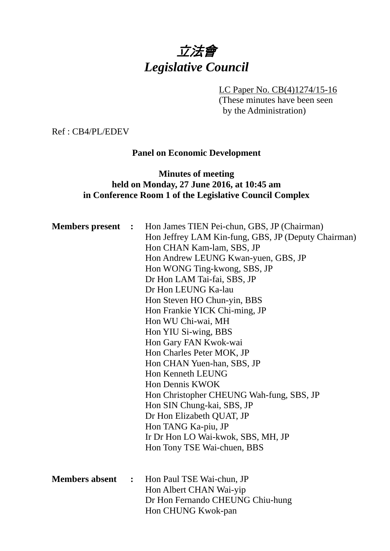# 立法會 *Legislative Council*

## LC Paper No. CB(4)1274/15-16

(These minutes have been seen by the Administration)

Ref : CB4/PL/EDEV

## **Panel on Economic Development**

## **Minutes of meeting held on Monday, 27 June 2016, at 10:45 am in Conference Room 1 of the Legislative Council Complex**

| <b>Members</b> present | $\mathbf{L}$ | Hon James TIEN Pei-chun, GBS, JP (Chairman)<br>Hon Jeffrey LAM Kin-fung, GBS, JP (Deputy Chairman)<br>Hon CHAN Kam-lam, SBS, JP<br>Hon Andrew LEUNG Kwan-yuen, GBS, JP<br>Hon WONG Ting-kwong, SBS, JP<br>Dr Hon LAM Tai-fai, SBS, JP<br>Dr Hon LEUNG Ka-lau<br>Hon Steven HO Chun-yin, BBS<br>Hon Frankie YICK Chi-ming, JP<br>Hon WU Chi-wai, MH<br>Hon YIU Si-wing, BBS<br>Hon Gary FAN Kwok-wai<br>Hon Charles Peter MOK, JP<br>Hon CHAN Yuen-han, SBS, JP<br>Hon Kenneth LEUNG<br>Hon Dennis KWOK<br>Hon Christopher CHEUNG Wah-fung, SBS, JP<br>Hon SIN Chung-kai, SBS, JP<br>Dr Hon Elizabeth QUAT, JP<br>Hon TANG Ka-piu, JP<br>Ir Dr Hon LO Wai-kwok, SBS, MH, JP<br>Hon Tony TSE Wai-chuen, BBS |
|------------------------|--------------|-----------------------------------------------------------------------------------------------------------------------------------------------------------------------------------------------------------------------------------------------------------------------------------------------------------------------------------------------------------------------------------------------------------------------------------------------------------------------------------------------------------------------------------------------------------------------------------------------------------------------------------------------------------------------------------------------------------|
| <b>Members absent</b>  | $\mathbf{L}$ | Hon Paul TSE Wai-chun, JP<br>Hon Albert CHAN Wai-yip<br>Dr Hon Fernando CHEUNG Chiu-hung<br>Hon CHUNG Kwok-pan                                                                                                                                                                                                                                                                                                                                                                                                                                                                                                                                                                                            |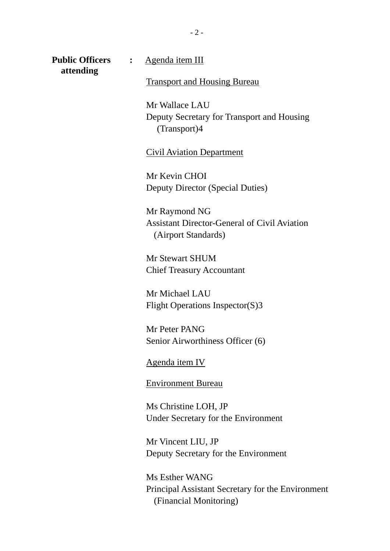**Public Officers :** <u>Agenda item III</u> **attending** 

Transport and Housing Bureau

Mr Wallace LAU Deputy Secretary for Transport and Housing (Transport)4

Civil Aviation Department

Mr Kevin CHOI Deputy Director (Special Duties)

Mr Raymond NG Assistant Director-General of Civil Aviation (Airport Standards)

Mr Stewart SHUM Chief Treasury Accountant

Mr Michael LAU Flight Operations Inspector(S)3

Mr Peter PANG Senior Airworthiness Officer (6)

Agenda item IV

Environment Bureau

Ms Christine LOH, JP Under Secretary for the Environment

Mr Vincent LIU, JP Deputy Secretary for the Environment

Ms Esther WANG Principal Assistant Secretary for the Environment (Financial Monitoring)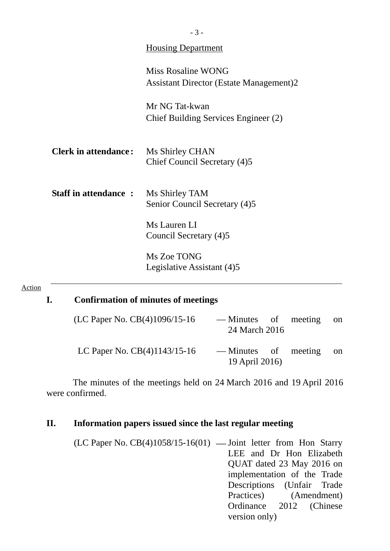|                             | <b>Housing Department</b>                                            |
|-----------------------------|----------------------------------------------------------------------|
|                             | Miss Rosaline WONG<br><b>Assistant Director (Estate Management)2</b> |
|                             | Mr NG Tat-kwan<br>Chief Building Services Engineer (2)               |
| <b>Clerk in attendance:</b> | Ms Shirley CHAN<br>Chief Council Secretary (4)5                      |
| <b>Staff in attendance:</b> | Ms Shirley TAM<br>Senior Council Secretary (4)5                      |
|                             | Ms Lauren LI<br>Council Secretary (4)5                               |
|                             | Ms Zoe TONG<br>Legislative Assistant (4)5                            |

#### Action

## **I. Confirmation of minutes of meetings**

| (LC Paper No. CB(4)1096/15-16  | — Minutes of meeting<br>24 March 2016  | <sub>on</sub> |
|--------------------------------|----------------------------------------|---------------|
| LC Paper No. $CB(4)1143/15-16$ | — Minutes of meeting<br>19 April 2016) | on.           |

The minutes of the meetings held on 24 March 2016 and 19 April 2016 were confirmed.

## **II. Information papers issued since the last regular meeting**

(LC Paper No.  $CB(4)1058/15-16(01)$  — Joint letter from Hon Starry LEE and Dr Hon Elizabeth QUAT dated 23 May 2016 on implementation of the Trade Descriptions (Unfair Trade Practices) (Amendment) Ordinance 2012 (Chinese version only)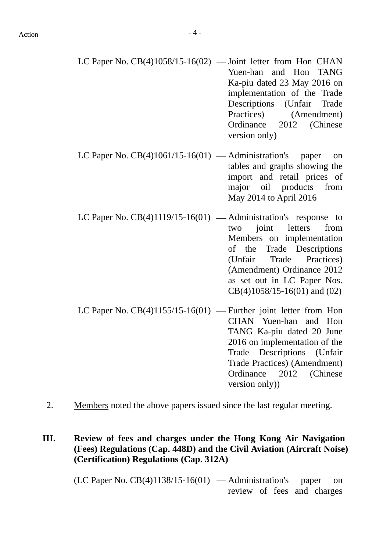- LC Paper No.  $CB(4)1058/15-16(02)$  Joint letter from Hon CHAN Yuen-han and Hon TANG Ka-piu dated 23 May 2016 on implementation of the Trade Descriptions (Unfair Trade Practices) (Amendment) Ordinance 2012 (Chinese version only)
- LC Paper No.  $CB(4)1061/15-16(01)$  Administration's paper on tables and graphs showing the import and retail prices of major oil products from May 2014 to April 2016
- LC Paper No.  $CB(4)1119/15-16(01)$  Administration's response to two joint letters from Members on implementation of the Trade Descriptions (Unfair Trade Practices) (Amendment) Ordinance 2012 as set out in LC Paper Nos. CB(4)1058/15-16(01) and (02)
- LC Paper No.  $CB(4)1155/15-16(01)$  Further joint letter from Hon CHAN Yuen-han and Hon TANG Ka-piu dated 20 June 2016 on implementation of the Trade Descriptions (Unfair Trade Practices) (Amendment) Ordinance 2012 (Chinese version only))
- 2. Members noted the above papers issued since the last regular meeting.
- **III. Review of fees and charges under the Hong Kong Air Navigation (Fees) Regulations (Cap. 448D) and the Civil Aviation (Aircraft Noise) (Certification) Regulations (Cap. 312A)**

 $(LC$  Paper No.  $CB(4)1138/15-16(01)$  — Administration's paper on review of fees and charges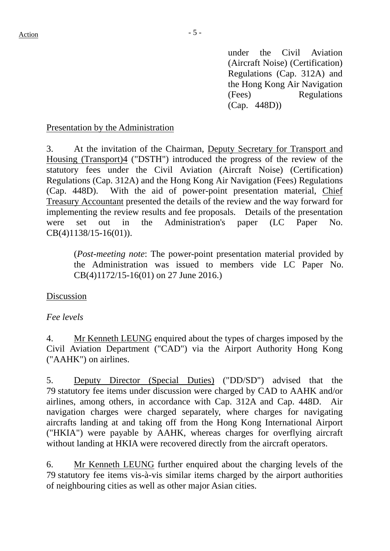under the Civil Aviation (Aircraft Noise) (Certification) Regulations (Cap. 312A) and the Hong Kong Air Navigation (Fees) Regulations (Cap. 448D))

## Presentation by the Administration

3. At the invitation of the Chairman, Deputy Secretary for Transport and Housing (Transport)4 ("DSTH") introduced the progress of the review of the statutory fees under the Civil Aviation (Aircraft Noise) (Certification) Regulations (Cap. 312A) and the Hong Kong Air Navigation (Fees) Regulations (Cap. 448D). With the aid of power-point presentation material, Chief Treasury Accountant presented the details of the review and the way forward for implementing the review results and fee proposals. Details of the presentation were set out in the Administration's paper (LC Paper No. CB(4)1138/15-16(01)).

(*Post-meeting note*: The power-point presentation material provided by the Administration was issued to members vide LC Paper No. CB(4)1172/15-16(01) on 27 June 2016.)

## Discussion

## *Fee levels*

4. Mr Kenneth LEUNG enquired about the types of charges imposed by the Civil Aviation Department ("CAD") via the Airport Authority Hong Kong ("AAHK") on airlines.

5. Deputy Director (Special Duties) ("DD/SD") advised that the 79 statutory fee items under discussion were charged by CAD to AAHK and/or airlines, among others, in accordance with Cap. 312A and Cap. 448D. Air navigation charges were charged separately, where charges for navigating aircrafts landing at and taking off from the Hong Kong International Airport ("HKIA") were payable by AAHK, whereas charges for overflying aircraft without landing at HKIA were recovered directly from the aircraft operators.

6. Mr Kenneth LEUNG further enquired about the charging levels of the 79 statutory fee items vis-à-vis similar items charged by the airport authorities of neighbouring cities as well as other major Asian cities.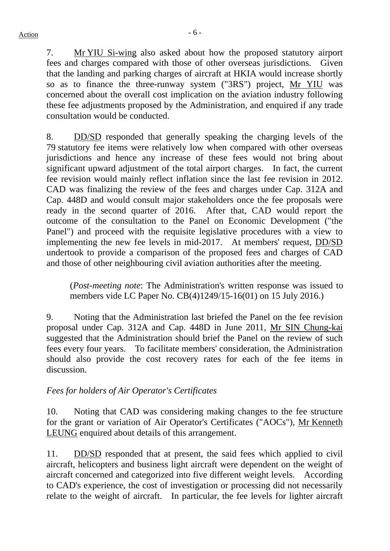7. Mr YIU Si-wing also asked about how the proposed statutory airport fees and charges compared with those of other overseas jurisdictions. Given that the landing and parking charges of aircraft at HKIA would increase shortly so as to finance the three-runway system ("3RS") project, Mr YIU was concerned about the overall cost implication on the aviation industry following these fee adjustments proposed by the Administration, and enquired if any trade consultation would be conducted.

8. DD/SD responded that generally speaking the charging levels of the 79 statutory fee items were relatively low when compared with other overseas jurisdictions and hence any increase of these fees would not bring about significant upward adjustment of the total airport charges. In fact, the current fee revision would mainly reflect inflation since the last fee revision in 2012. CAD was finalizing the review of the fees and charges under Cap. 312A and Cap. 448D and would consult major stakeholders once the fee proposals were ready in the second quarter of 2016. After that, CAD would report the outcome of the consultation to the Panel on Economic Development ("the Panel") and proceed with the requisite legislative procedures with a view to implementing the new fee levels in mid-2017. At members' request, DD/SD undertook to provide a comparison of the proposed fees and charges of CAD and those of other neighbouring civil aviation authorities after the meeting.

(*Post-meeting note*: The Administration's written response was issued to members vide LC Paper No. CB(4)1249/15-16(01) on 15 July 2016.)

9. Noting that the Administration last briefed the Panel on the fee revision proposal under Cap. 312A and Cap. 448D in June 2011, Mr SIN Chung-kai suggested that the Administration should brief the Panel on the review of such fees every four years. To facilitate members' consideration, the Administration should also provide the cost recovery rates for each of the fee items in discussion.

## *Fees for holders of Air Operator's Certificates*

10. Noting that CAD was considering making changes to the fee structure for the grant or variation of Air Operator's Certificates ("AOCs"), Mr Kenneth LEUNG enquired about details of this arrangement.

11. DD/SD responded that at present, the said fees which applied to civil aircraft, helicopters and business light aircraft were dependent on the weight of aircraft concerned and categorized into five different weight levels. According to CAD's experience, the cost of investigation or processing did not necessarily relate to the weight of aircraft. In particular, the fee levels for lighter aircraft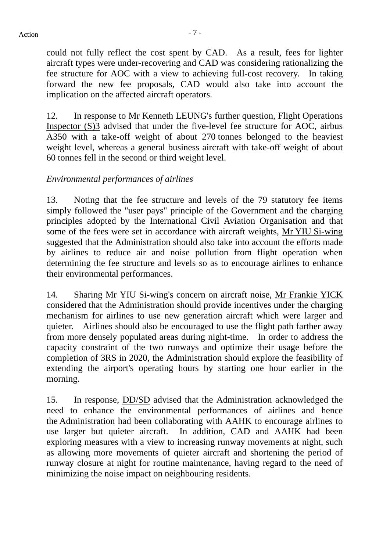could not fully reflect the cost spent by CAD. As a result, fees for lighter aircraft types were under-recovering and CAD was considering rationalizing the fee structure for AOC with a view to achieving full-cost recovery. In taking forward the new fee proposals, CAD would also take into account the implication on the affected aircraft operators.

12. In response to Mr Kenneth LEUNG's further question, Flight Operations Inspector (S)3 advised that under the five-level fee structure for AOC, airbus A350 with a take-off weight of about 270 tonnes belonged to the heaviest weight level, whereas a general business aircraft with take-off weight of about 60 tonnes fell in the second or third weight level.

## *Environmental performances of airlines*

13. Noting that the fee structure and levels of the 79 statutory fee items simply followed the "user pays" principle of the Government and the charging principles adopted by the International Civil Aviation Organisation and that some of the fees were set in accordance with aircraft weights, Mr YIU Si-wing suggested that the Administration should also take into account the efforts made by airlines to reduce air and noise pollution from flight operation when determining the fee structure and levels so as to encourage airlines to enhance their environmental performances.

14. Sharing Mr YIU Si-wing's concern on aircraft noise, Mr Frankie YICK considered that the Administration should provide incentives under the charging mechanism for airlines to use new generation aircraft which were larger and quieter. Airlines should also be encouraged to use the flight path farther away from more densely populated areas during night-time. In order to address the capacity constraint of the two runways and optimize their usage before the completion of 3RS in 2020, the Administration should explore the feasibility of extending the airport's operating hours by starting one hour earlier in the morning.

15. In response, DD/SD advised that the Administration acknowledged the need to enhance the environmental performances of airlines and hence the Administration had been collaborating with AAHK to encourage airlines to use larger but quieter aircraft. In addition, CAD and AAHK had been exploring measures with a view to increasing runway movements at night, such as allowing more movements of quieter aircraft and shortening the period of runway closure at night for routine maintenance, having regard to the need of minimizing the noise impact on neighbouring residents.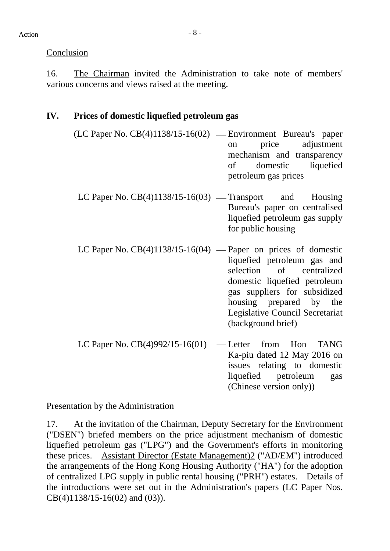Conclusion

16. The Chairman invited the Administration to take note of members' various concerns and views raised at the meeting.

## **IV. Prices of domestic liquefied petroleum gas**

- $(LC$  Paper No.  $CB(4)1138/15-16(02)$  Environment Bureau's paper on price adjustment mechanism and transparency of domestic liquefied petroleum gas prices
	- LC Paper No.  $CB(4)1138/15-16(03)$  Transport and Housing Bureau's paper on centralised liquefied petroleum gas supply for public housing
	- LC Paper No.  $CB(4)1138/15-16(04)$  Paper on prices of domestic liquefied petroleum gas and selection of centralized domestic liquefied petroleum gas suppliers for subsidized housing prepared by the Legislative Council Secretariat (background brief)
- LC Paper No.  $CB(4)992/15-16(01)$  Letter from Hon TANG Ka-piu dated 12 May 2016 on issues relating to domestic liquefied petroleum gas (Chinese version only))

Presentation by the Administration

17. At the invitation of the Chairman, Deputy Secretary for the Environment ("DSEN") briefed members on the price adjustment mechanism of domestic liquefied petroleum gas ("LPG") and the Government's efforts in monitoring these prices. Assistant Director (Estate Management)2 ("AD/EM") introduced the arrangements of the Hong Kong Housing Authority ("HA") for the adoption of centralized LPG supply in public rental housing ("PRH") estates. Details of the introductions were set out in the Administration's papers (LC Paper Nos. CB(4)1138/15-16(02) and (03)).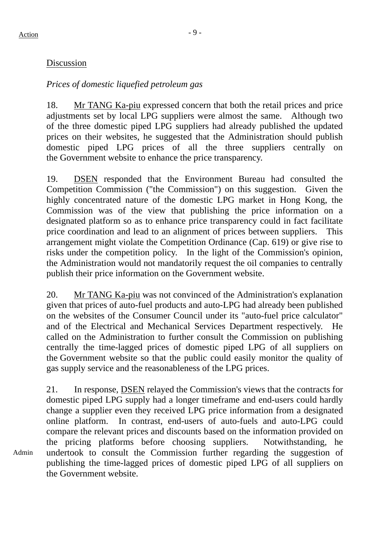Admin

## Discussion

## *Prices of domestic liquefied petroleum gas*

18. Mr TANG Ka-piu expressed concern that both the retail prices and price adjustments set by local LPG suppliers were almost the same. Although two of the three domestic piped LPG suppliers had already published the updated prices on their websites, he suggested that the Administration should publish domestic piped LPG prices of all the three suppliers centrally on the Government website to enhance the price transparency.

19. DSEN responded that the Environment Bureau had consulted the Competition Commission ("the Commission") on this suggestion. Given the highly concentrated nature of the domestic LPG market in Hong Kong, the Commission was of the view that publishing the price information on a designated platform so as to enhance price transparency could in fact facilitate price coordination and lead to an alignment of prices between suppliers. This arrangement might violate the Competition Ordinance (Cap. 619) or give rise to risks under the competition policy. In the light of the Commission's opinion, the Administration would not mandatorily request the oil companies to centrally publish their price information on the Government website.

20. Mr TANG Ka-piu was not convinced of the Administration's explanation given that prices of auto-fuel products and auto-LPG had already been published on the websites of the Consumer Council under its "auto-fuel price calculator" and of the [Electrical and Mechanical Services Department](http://www.emsd.gov.hk/) respectively. He called on the Administration to further consult the Commission on publishing centrally the time-lagged prices of domestic piped LPG of all suppliers on the Government website so that the public could easily monitor the quality of gas supply service and the reasonableness of the LPG prices.

21. In response, DSEN relayed the Commission's views that the contracts for domestic piped LPG supply had a longer timeframe and end-users could hardly change a supplier even they received LPG price information from a designated online platform. In contrast, end-users of auto-fuels and auto-LPG could compare the relevant prices and discounts based on the information provided on the pricing platforms before choosing suppliers. Notwithstanding, he undertook to consult the Commission further regarding the suggestion of publishing the time-lagged prices of domestic piped LPG of all suppliers on the Government website.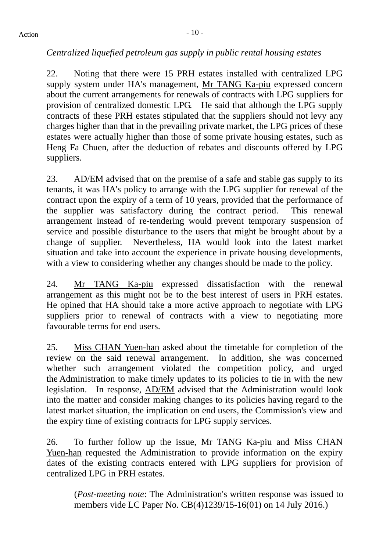## *Centralized liquefied petroleum gas supply in public rental housing estates*

22. Noting that there were 15 PRH estates installed with centralized LPG supply system under HA's management, Mr TANG Ka-piu expressed concern about the current arrangements for renewals of contracts with LPG suppliers for provision of centralized domestic LPG. He said that although the LPG supply contracts of these PRH estates stipulated that the suppliers should not levy any charges higher than that in the prevailing private market, the LPG prices of these estates were actually higher than those of some private housing estates, such as Heng Fa Chuen, after the deduction of rebates and discounts offered by LPG suppliers.

23. AD/EM advised that on the premise of a safe and stable gas supply to its tenants, it was HA's policy to arrange with the LPG supplier for renewal of the contract upon the expiry of a term of 10 years, provided that the performance of the supplier was satisfactory during the contract period. This renewal arrangement instead of re-tendering would prevent temporary suspension of service and possible disturbance to the users that might be brought about by a change of supplier. Nevertheless, HA would look into the latest market situation and take into account the experience in private housing developments, with a view to considering whether any changes should be made to the policy.

24. Mr TANG Ka-piu expressed dissatisfaction with the renewal arrangement as this might not be to the best interest of users in PRH estates. He opined that HA should take a more active approach to negotiate with LPG suppliers prior to renewal of contracts with a view to negotiating more favourable terms for end users.

25. Miss CHAN Yuen-han asked about the timetable for completion of the review on the said renewal arrangement. In addition, she was concerned whether such arrangement violated the competition policy, and urged the Administration to make timely updates to its policies to tie in with the new legislation. In response, AD/EM advised that the Administration would look into the matter and consider making changes to its policies having regard to the latest market situation, the implication on end users, the Commission's view and the expiry time of existing contracts for LPG supply services.

26. To further follow up the issue, Mr TANG Ka-piu and Miss CHAN Yuen-han requested the Administration to provide information on the expiry dates of the existing contracts entered with LPG suppliers for provision of centralized LPG in PRH estates.

(*Post-meeting note*: The Administration's written response was issued to members vide LC Paper No. CB(4)1239/15-16(01) on 14 July 2016.)